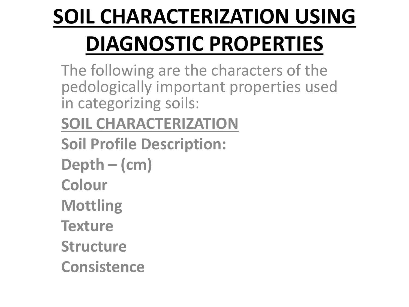## **SOIL CHARACTERIZATION USING DIAGNOSTIC PROPERTIES**

The following are the characters of the pedologically important properties used in categorizing soils:

**SOIL CHARACTERIZATION**

- **Soil Profile Description:**
- **Depth – (cm)**
- **Colour**
- **Mottling**
- **Texture**
- **Structure**
- **Consistence**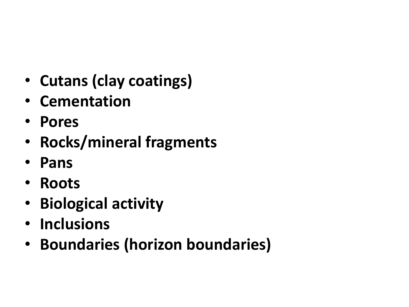- **Cutans (clay coatings)**
- **Cementation**
- **Pores**
- **Rocks/mineral fragments**
- **Pans**
- **Roots**
- **Biological activity**
- **Inclusions**
- **Boundaries (horizon boundaries)**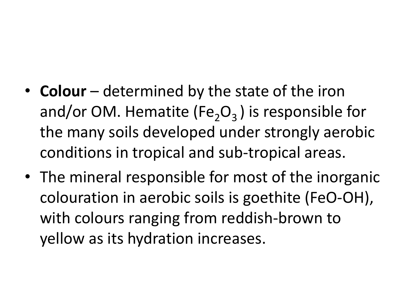- **Colour** determined by the state of the iron and/or OM. Hematite (Fe<sub>2</sub>O<sub>3</sub>) is responsible for the many soils developed under strongly aerobic conditions in tropical and sub-tropical areas.
- The mineral responsible for most of the inorganic colouration in aerobic soils is goethite (FeO-OH), with colours ranging from reddish-brown to yellow as its hydration increases.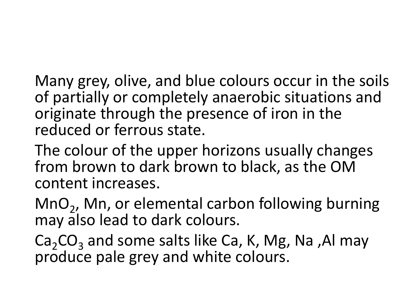Many grey, olive, and blue colours occur in the soils of partially or completely anaerobic situations and originate through the presence of iron in the reduced or ferrous state.

The colour of the upper horizons usually changes from brown to dark brown to black, as the OM content increases.

MnO<sub>2</sub>, Mn, or elemental carbon following burning may also lead to dark colours.

 $Ca<sub>2</sub>CO<sub>3</sub>$  and some salts like Ca, K, Mg, Na, Al may produce pale grey and white colours.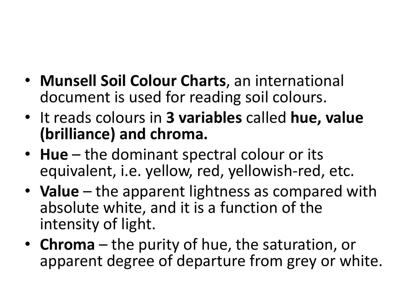- **Munsell Soil Colour Charts**, an international document is used for reading soil colours.
- It reads colours in **3 variables** called **hue, value (brilliance) and chroma.**
- Hue the dominant spectral colour or its equivalent, i.e. yellow, red, yellowish-red, etc.
- **Value**  the apparent lightness as compared with absolute white, and it is a function of the intensity of light.
- **Chroma**  the purity of hue, the saturation, or apparent degree of departure from grey or white.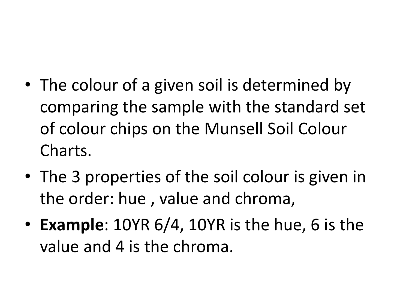- The colour of a given soil is determined by comparing the sample with the standard set of colour chips on the Munsell Soil Colour Charts.
- The 3 properties of the soil colour is given in the order: hue , value and chroma,
- **Example**: 10YR 6/4, 10YR is the hue, 6 is the value and 4 is the chroma.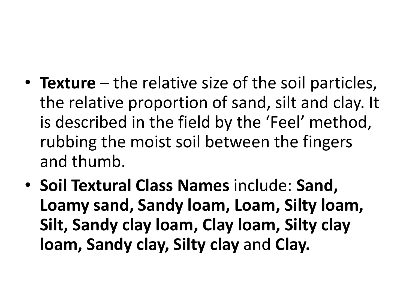- **Texture** the relative size of the soil particles, the relative proportion of sand, silt and clay. It is described in the field by the 'Feel' method, rubbing the moist soil between the fingers and thumb.
- **Soil Textural Class Names** include: **Sand, Loamy sand, Sandy loam, Loam, Silty loam, Silt, Sandy clay loam, Clay loam, Silty clay loam, Sandy clay, Silty clay** and **Clay.**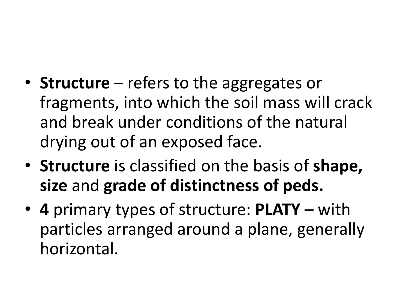- **Structure** refers to the aggregates or fragments, into which the soil mass will crack and break under conditions of the natural drying out of an exposed face.
- **Structure** is classified on the basis of **shape, size** and **grade of distinctness of peds.**
- **4** primary types of structure: **PLATY** with particles arranged around a plane, generally horizontal.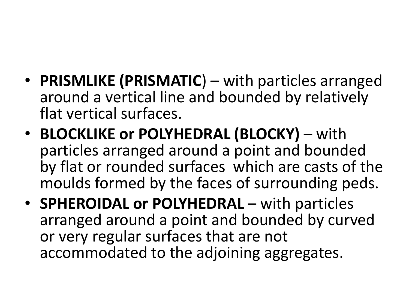- **PRISMLIKE (PRISMATIC**) with particles arranged around a vertical line and bounded by relatively flat vertical surfaces.
- **BLOCKLIKE or POLYHEDRAL (BLOCKY)**  with particles arranged around a point and bounded by flat or rounded surfaces which are casts of the moulds formed by the faces of surrounding peds.
- **SPHEROIDAL or POLYHEDRAL** with particles arranged around a point and bounded by curved or very regular surfaces that are not accommodated to the adjoining aggregates.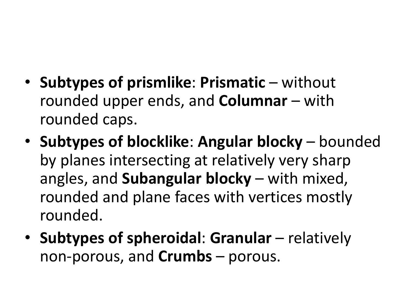- **Subtypes of prismlike**: **Prismatic** without rounded upper ends, and **Columnar** – with rounded caps.
- **Subtypes of blocklike**: **Angular blocky**  bounded by planes intersecting at relatively very sharp angles, and **Subangular blocky** – with mixed, rounded and plane faces with vertices mostly rounded.
- **Subtypes of spheroidal**: **Granular** relatively non-porous, and **Crumbs** – porous.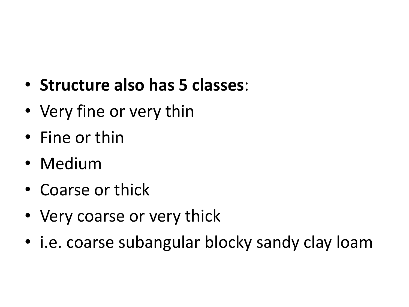- **Structure also has 5 classes**:
- Very fine or very thin
- Fine or thin
- Medium
- Coarse or thick
- Very coarse or very thick
- i.e. coarse subangular blocky sandy clay loam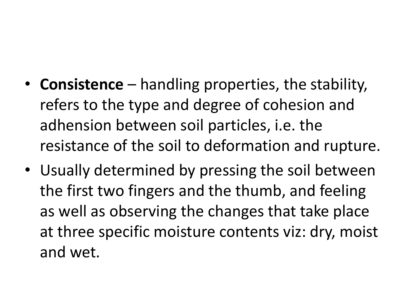- **Consistence**  handling properties, the stability, refers to the type and degree of cohesion and adhension between soil particles, i.e. the resistance of the soil to deformation and rupture.
- Usually determined by pressing the soil between the first two fingers and the thumb, and feeling as well as observing the changes that take place at three specific moisture contents viz: dry, moist and wet.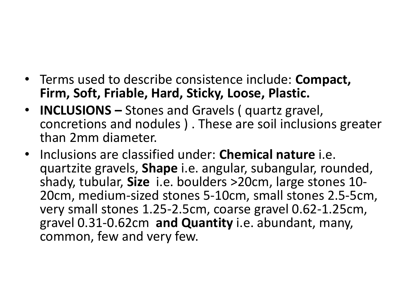- Terms used to describe consistence include: **Compact, Firm, Soft, Friable, Hard, Sticky, Loose, Plastic.**
- **INCLUSIONS –** Stones and Gravels ( quartz gravel, concretions and nodules ) . These are soil inclusions greater than 2mm diameter.
- Inclusions are classified under: **Chemical nature** i.e. quartzite gravels, **Shape** i.e. angular, subangular, rounded, shady, tubular, **Size** i.e. boulders >20cm, large stones 10- 20cm, medium-sized stones 5-10cm, small stones 2.5-5cm, very small stones 1.25-2.5cm, coarse gravel 0.62-1.25cm, gravel 0.31-0.62cm **and Quantity** i.e. abundant, many, common, few and very few.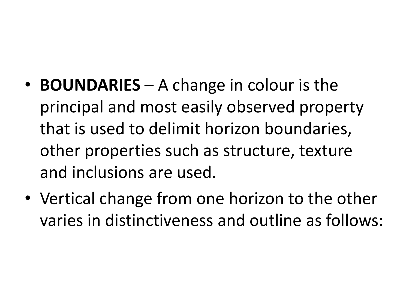- **BOUNDARIES** A change in colour is the principal and most easily observed property that is used to delimit horizon boundaries, other properties such as structure, texture and inclusions are used.
- Vertical change from one horizon to the other varies in distinctiveness and outline as follows: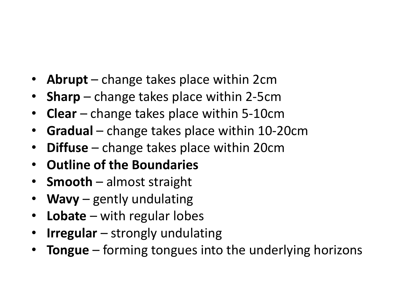- **Abrupt** change takes place within 2cm
- **Sharp** change takes place within 2-5cm
- **Clear** change takes place within 5-10cm
- **Gradual** change takes place within 10-20cm
- **Diffuse** change takes place within 20cm
- **Outline of the Boundaries**
- **Smooth** almost straight
- **Wavy** gently undulating
- **Lobate** with regular lobes
- **Irregular**  strongly undulating
- **Tongue**  forming tongues into the underlying horizons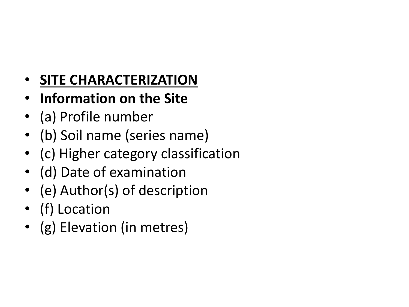## • **SITE CHARACTERIZATION**

- **Information on the Site**
- (a) Profile number
- (b) Soil name (series name)
- (c) Higher category classification
- (d) Date of examination
- (e) Author(s) of description
- (f) Location
- (g) Elevation (in metres)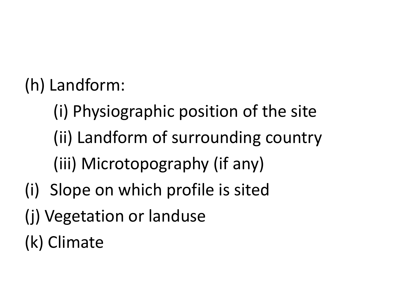(h) Landform:

- (i) Physiographic position of the site (ii) Landform of surrounding country (iii) Microtopography (if any)
- (i) Slope on which profile is sited
- (j) Vegetation or landuse

(k) Climate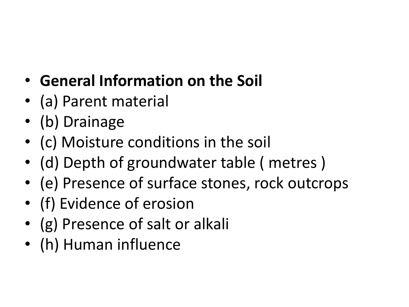- **General Information on the Soil**
- (a) Parent material
- (b) Drainage
- (c) Moisture conditions in the soil
- (d) Depth of groundwater table ( metres )
- (e) Presence of surface stones, rock outcrops
- (f) Evidence of erosion
- (g) Presence of salt or alkali
- (h) Human influence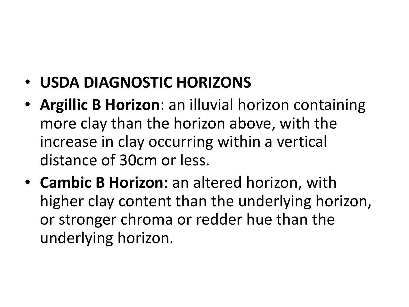- **USDA DIAGNOSTIC HORIZONS**
- **Argillic B Horizon**: an illuvial horizon containing more clay than the horizon above, with the increase in clay occurring within a vertical distance of 30cm or less.
- **Cambic B Horizon**: an altered horizon, with higher clay content than the underlying horizon, or stronger chroma or redder hue than the underlying horizon.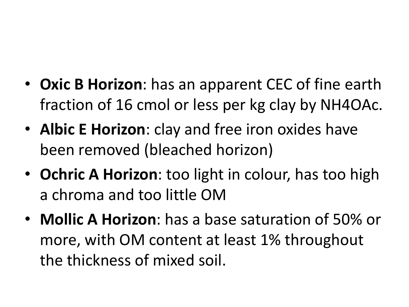- **Oxic B Horizon**: has an apparent CEC of fine earth fraction of 16 cmol or less per kg clay by NH4OAc.
- **Albic E Horizon**: clay and free iron oxides have been removed (bleached horizon)
- **Ochric A Horizon**: too light in colour, has too high a chroma and too little OM
- **Mollic A Horizon**: has a base saturation of 50% or more, with OM content at least 1% throughout the thickness of mixed soil.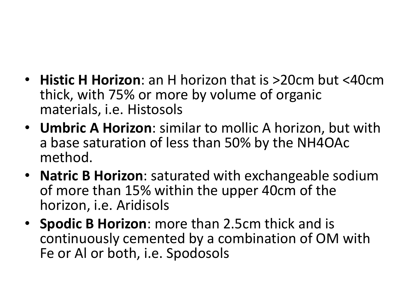- **Histic H Horizon**: an H horizon that is >20cm but <40cm thick, with 75% or more by volume of organic materials, i.e. Histosols
- **Umbric A Horizon**: similar to mollic A horizon, but with a base saturation of less than 50% by the NH4OAc method.
- **Natric B Horizon**: saturated with exchangeable sodium of more than 15% within the upper 40cm of the horizon, i.e. Aridisols
- **Spodic B Horizon**: more than 2.5cm thick and is continuously cemented by a combination of OM with Fe or Al or both, i.e. Spodosols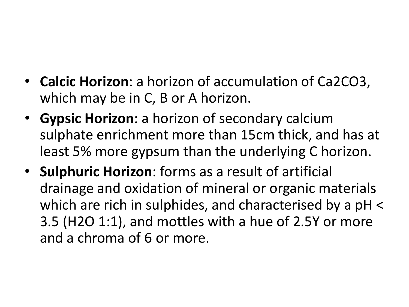- **Calcic Horizon**: a horizon of accumulation of Ca2CO3, which may be in C, B or A horizon.
- **Gypsic Horizon**: a horizon of secondary calcium sulphate enrichment more than 15cm thick, and has at least 5% more gypsum than the underlying C horizon.
- **Sulphuric Horizon**: forms as a result of artificial drainage and oxidation of mineral or organic materials which are rich in sulphides, and characterised by a pH < 3.5 (H2O 1:1), and mottles with a hue of 2.5Y or more and a chroma of 6 or more.